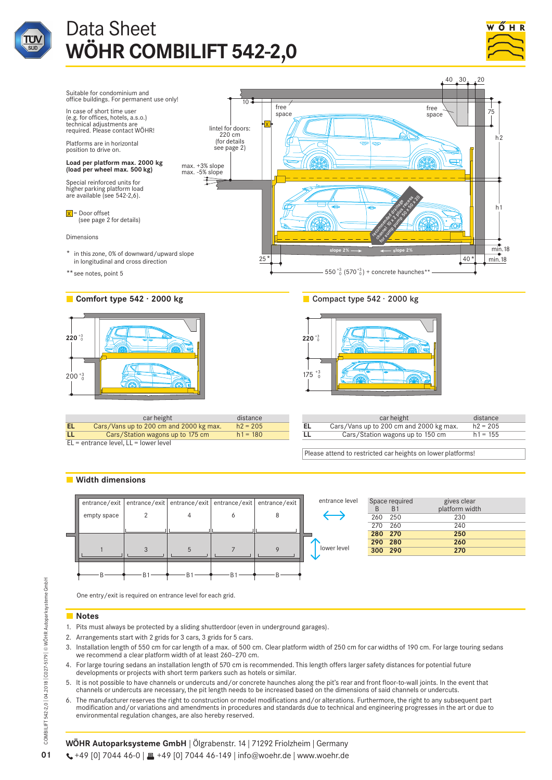











|    | car height                              | distance   |   | car height                              | distance   |  |
|----|-----------------------------------------|------------|---|-----------------------------------------|------------|--|
| EL | Cars/Vans up to 200 cm and 2000 kg max. | $h2 = 205$ |   | Cars/Vans up to 200 cm and 2000 kg max. | $h2 = 205$ |  |
| LL | Cars/Station wagons up to 175 cm        | $h1 = 180$ | ᄔ | Cars/Station wagons up to 150 cm        | $h1 = 155$ |  |
|    | EL = entrance level, LL = lower level   |            |   |                                         |            |  |

Please attend to restricted car heights on lower platforms!

# **Width dimensions**



| level |         | Space required | gives clear    |
|-------|---------|----------------|----------------|
|       | R.      | <b>B1</b>      | platform width |
|       | 260     | - 250          | 230            |
|       | 270     | 260            | 240            |
|       | 280 270 |                | 250            |
|       |         | 290 280        | 260            |
| el    |         | 300 290        | 270            |
|       |         |                |                |

One entry/exit is required on entrance level for each grid.

# **Notes**

- 1. Pits must always be protected by a sliding shutterdoor (even in underground garages).
- 2. Arrangements start with 2 grids for 3 cars, 3 grids for 5 cars.
- 3. Installation length of 550 cm for car length of a max. of 500 cm. Clear platform width of 250 cm for car widths of 190 cm. For large touring sedans we recommend a clear platform width of at least 260–270 cm.
- 4. For large touring sedans an installation length of 570 cm is recommended. This length offers larger safety distances for potential future developments or projects with short term parkers such as hotels or similar.
- 5. It is not possible to have channels or undercuts and/or concrete haunches along the pit's rear and front floor-to-wall joints. In the event that channels or undercuts are necessary, the pit length needs to be increased based on the dimensions of said channels or undercuts.
- 6. The manufacturer reserves the right to construction or model modifications and/or alterations. Furthermore, the right to any subsequent part modification and/or variations and amendments in procedures and standards due to technical and engineering progresses in the art or due to environmental regulation changes, are also hereby reserved.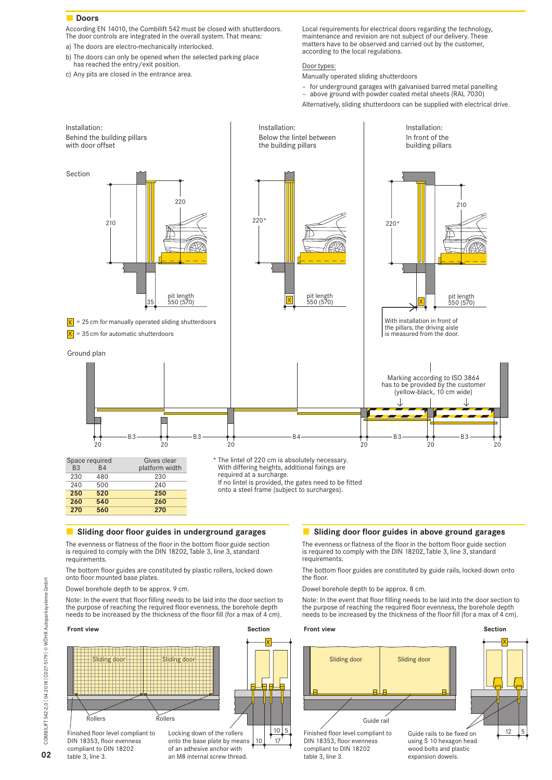# **Doors**

According EN 14010, the Combilift 542 must be closed with shutterdoors. The door controls are integrated in the overall system. That means:

- a) The doors are electro-mechanically interlocked.
- b) The doors can only be opened when the selected parking place has reached the entry/exit position.
- c) Any pits are closed in the entrance area.

Local requirements for electrical doors regarding the technology, maintenance and revision are not subject of our delivery. These matters have to be observed and carried out by the customer, according to the local regulations.

# Door types:

Manually operated sliding shutterdoors

- for underground garages with galvanised barred metal panelling
- above ground with powder coated metal sheets (RAL 7030)



# **Sliding door floor guides in underground garages**

The evenness or flatness of the floor in the bottom floor guide section is required to comply with the DIN 18202, Table 3, line 3, standard requirements.

The bottom floor guides are constituted by plastic rollers, locked down onto floor mounted base plates.

Dowel borehole depth to be approx. 9 cm.

Note: In the event that floor filling needs to be laid into the door section to the purpose of reaching the required floor evenness, the borehole depth needs to be increased by the thickness of the floor fill (for a max of 4 cm).



# **Sliding door floor guides in above ground garages**

The evenness or flatness of the floor in the bottom floor guide section is required to comply with the DIN 18202, Table 3, line 3, standard requirements.

The bottom floor guides are constituted by guide rails, locked down onto the floor.

Dowel borehole depth to be approx. 8 cm.

Note: In the event that floor filling needs to be laid into the door section to the purpose of reaching the required floor evenness, the borehole depth needs to be increased by the thickness of the floor fill (for a max of 4 cm).

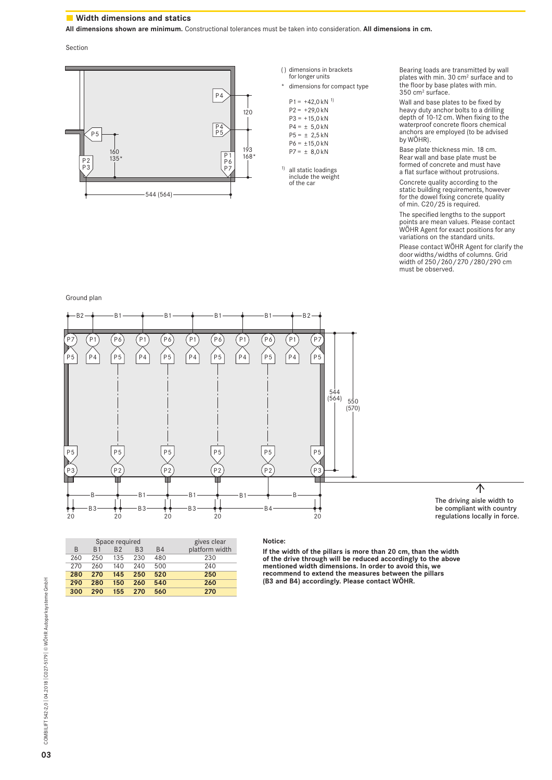# **Width dimensions and statics**

**All dimensions shown are minimum.** Constructional tolerances must be taken into consideration. **All dimensions in cm.**

Section



|  | () dimensions in brackets<br>for longer units                                                         |
|--|-------------------------------------------------------------------------------------------------------|
|  | dimensions for compact type                                                                           |
|  | 1)<br>$P1 = +42.0$ kN<br>$P2 = +29.0$ kN<br>$P3 = +15.0$ kN<br>$P4 = \pm 5.0$ kN<br>$P5 = \pm 2.5$ kN |
|  | $P6 = \pm 15.0$ kN<br>$P7 = \pm 8.0$ kN                                                               |

<sup>1)</sup> all static loadings<br>include the weight of the car

Bearing loads are transmitted by wall plates with min. 30 cm2 surface and to the floor by base plates with min. 350 cm2 surface.

Wall and base plates to be fixed by heavy duty anchor bolts to a drilling depth of 10-12 cm. When fixing to the waterproof concrete floors chemical anchors are employed (to be advised by WÖHR).

Base plate thickness min. 18 cm. Rear wall and base plate must be formed of concrete and must have a flat surface without protrusions.

Concrete quality according to the static building requirements, however for the dowel fixing concrete quality of min. C20/25 is required.

The specified lengths to the support points are mean values. Please contact WÖHR Agent for exact positions for any variations on the standard units.

Please contact WÖHR Agent for clarify the door widths/widths of columns. Grid width of 250/260/270/280/290 cm must be observed.

Ground plan



| B   | B <sub>1</sub> | Space required<br>B <sub>2</sub> | B.3 | <b>B4</b> | gives clear<br>platform width |
|-----|----------------|----------------------------------|-----|-----------|-------------------------------|
| 260 | 250            | 135                              | 230 | 480       | 230                           |
| 270 | 260            | 140                              | 240 | 500       | 240                           |
| 280 | 270            | 145                              | 250 | 520       | 250                           |
| 290 | 280            | 150                              | 260 | 540       | 260                           |
| 300 | 290            | 155                              | 270 | 560       | 270                           |

### **Notice:**

**If the width of the pillars is more than 20 cm, than the width of the drive through will be reduced accordingly to the above mentioned width dimensions. In order to avoid this, we recommend to extend the measures between the pillars (B3 and B4) accordingly. Please contact WÖHR.**